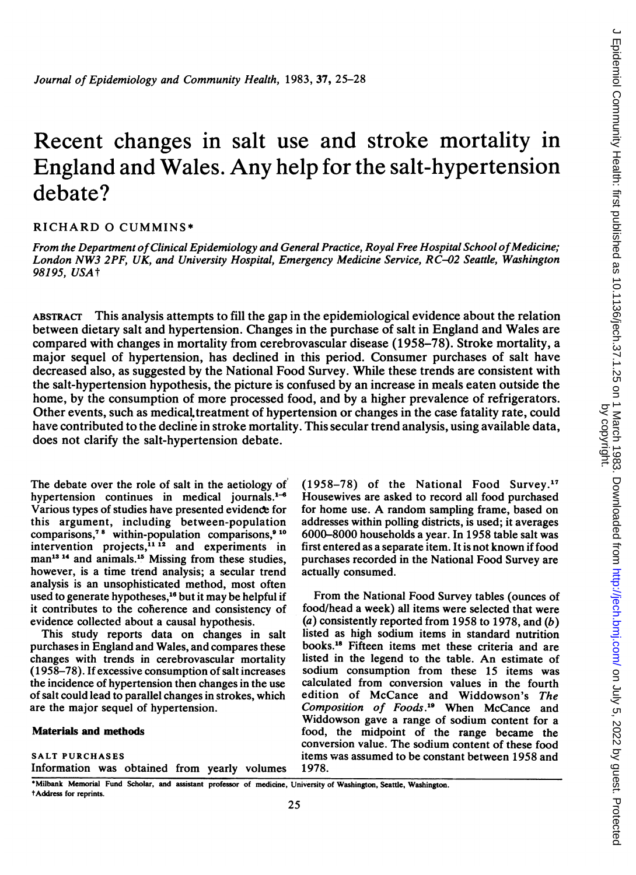# Recent changes in salt use and stroke mortality in England and Wales. Any help for the salt-hypertension debate?

## RICHARD 0 CUMMINS\*

From the Department of Clinical Epidemiology and General Practice, Royal Free Hospital School of Medicine; London NW3 2PF, UK, and University Hospital, Emergency Medicine Service, RC-02 Seattle, Washington 98195, USAt

ABSTRACT This analysis attempts to fill the gap in the epidemiological evidence about the relation between dietary salt and hypertension. Changes in the purchase of salt in England and Wales are compared with changes in mortality from cerebrovascular disease (1958-78). Stroke mortality, a major sequel of hypertension, has declined in this period. Consumer purchases of salt have decreased also, as suggested by the National Food Survey. While these trends are consistent with the salt-hypertension hypothesis, the picture is confused by an increase in meals eaten outside the home, by the consumption of more processed food, and by a higher prevalence of refrigerators. Other events, such as medicaLtreatment of hypertension or changes in the case fatality rate, could have contributed to the decline in stroke mortality. This secular trend analysis, using available data, does not clarify the salt-hypertension debate.

The debate over the role of salt in the aetiology of hypertension continues in medical journals. $1-6$ Various types of studies have presented evidence for this argument, including between-population comparisons,<sup> $78$ </sup> within-population comparisons, $910$ intervention projects,<sup>11 12</sup> and experiments in man<sup>13</sup><sup>14</sup> and animals.<sup>15</sup> Missing from these studies, however, is a time trend analysis; a secular trend analysis is an unsophisticated method, most often used to generate hypotheses,<sup>16</sup> but it may be helpful if it contributes to the coherence and consistency of evidence collected about a causal hypothesis.

This study reports data on changes in salt purchases in England and Wales, and compares these changes with trends in cerebrovascular mortality ( 1 958-78). If excessive consumption of salt increases the incidence of hypertension then changes in the use of salt could lead to parallel changes in strokes, which are the major sequel of hypertension.

## Materials and methods

## SALT PURCHASES

Information was obtained from yearly volumes

(1958-78) of the National Food Survey.17 Housewives are asked to record all food purchased for home use. A random sampling frame, based on addresses within polling districts, is used; it averages 6000-8000 households a year. In 1958 table salt was first entered as a separate item. It is not known if food purchases recorded in the National Food Survey are actually consumed.

From the National Food Survey tables (ounces of food/head a week) all items were selected that were (a) consistently reported from 1958 to 1978, and  $(b)$ listed as high sodium items in standard nutrition books.18 Fifteen items met these criteria and are listed in the legend to the table. An estimate of sodium consumption from these 15 items was calculated from conversion values in the fourth edition of McCance and Widdowson's The Composition of Foods."' When McCance and Widdowson gave a range of sodium content for a food, the midpoint of the range became the conversion value. The sodium content of these food items was assumed to be constant between 1958 and 1978.

\*Milbank Memorial Fund Scholar, and assistant professor of medicine, University of Washington, Seattle, Washington. tAddress for reprints.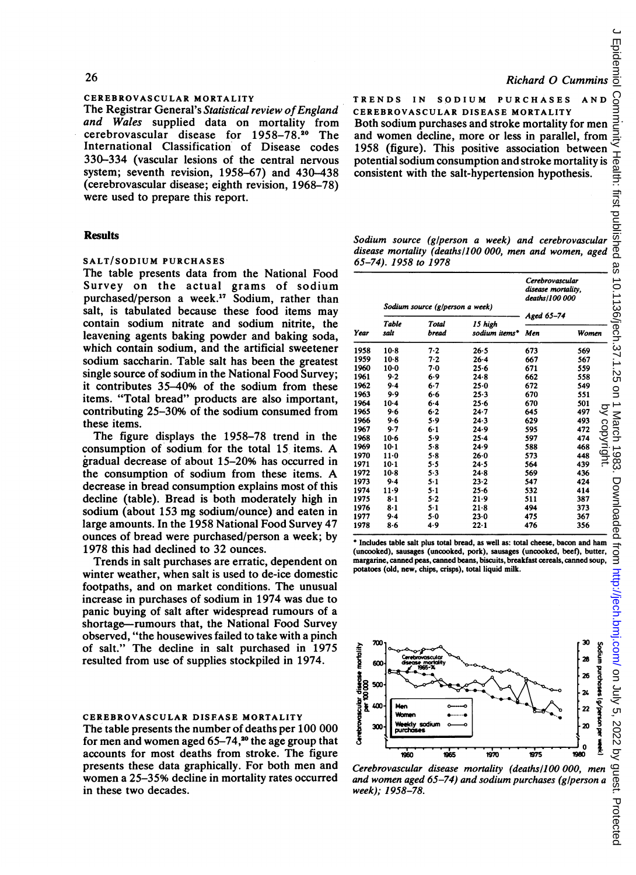## CEREBROVASCULAR MORTALITY

The Registrar General's Statistical review of England and Wales supplied data on mortality from cerebrovascular disease for 1958-78.20 The International Classification of Disease codes 330-334 (vascular lesions of the central nervous system; seventh revision, 1958-67) and 430-438 (cerebrovascular disease; eighth revision, 1968-78) were used to prepare this report.

## **Results**

## SALT/SODIUM PURCHASES

The table presents data from the National Food Survey on the actual grams of sodium purchased/person a week.17 Sodium, rather than salt, is tabulated because these food items may contain sodium nitrate and sodium nitrite, the leavening agents baking powder and baking soda, which contain sodium, and the artificial sweetener sodium saccharin. Table salt has been the greatest single source of sodium in the National Food Survey; it contributes 35-40% of the sodium from these items. "Total bread" products are also important, contributing 25-30% of the sodium consumed from these items.

The figure displays the 1958-78 trend in the consumption of sodium for the total <sup>15</sup> items. A gradual decrease of about 15-20% has occurred in the consumption of sodium from these items. A decrease in bread consumption explains most of this decline (table). Bread is both moderately high in sodium (about 153 mg sodium/ounce) and eaten in large amounts. In the 1958 National Food Survey 47 ounces of bread were purchased/person a week; by 1978 this had declined to 32 ounces.

Trends in salt purchases are erratic, dependent on winter weather, when salt is used to de-ice domestic footpaths, and on market conditions. The unusual increase in purchases of sodium in 1974 was due to panic buying of salt after widespread rumours of a shortage-rumours that, the National Food Survey observed, "the housewives failed to take with a pinch of salt." The decline in salt purchased in 1975 resulted from use of supplies stockpiled in 1974.

## CEREBROVASCULAR DISEASE MORTALITY

The table presents the number of deaths per 100 000 for men and women aged  $65-74$ ,<sup>20</sup> the age group that accounts for most deaths from stroke. The figure presents these data graphically. For both men and women a 25-35% decline in mortality rates occurred in these two decades.

## Richard 0 Cummins

TRENDS IN SODIUM PURCHASES AND CEREBROVASCULAR DISEASE MORTALITY Both sodium purchases and stroke mortality for men and women decline, more or less in parallel, from 1958 (figure). This positive association between TRENDS IN SODIUM PURCHASES AND CONCREDIBNOVASCULAR DISEASE MORTALITY<br>
Both sodium purchases and stroke mortality for men<br>
and women decline, more or less in parallel, from<br>
1958 (figure). This positive association between consistent with the salt-hypertension hypothesis.

Sodium source (g/person a week) and cerebrovascular disease mortality (deaths/100 000, men and women, aged 65-74). 1958 to 1978

| Year | Sodium source (g/person a week) |         |               | Cerebrovascular<br>disease mortality,<br>deaths/100 000 |                                          |  |
|------|---------------------------------|---------|---------------|---------------------------------------------------------|------------------------------------------|--|
|      | Table                           | Total   | 15 high       | Aged 65-74<br>ς<br>Ć                                    |                                          |  |
|      | salt                            | bread   | sodium items* | Men                                                     | Women                                    |  |
| 1958 | $10-8$                          | 7.2     | 26.5          | 673                                                     | 569                                      |  |
| 1959 | $10-8$                          | 7.2     | $26 - 4$      | 667                                                     | 567                                      |  |
| 1960 | $10-0$                          | 7.0     | 25.6          | 671                                                     | 559                                      |  |
| 1961 | 9.2                             | 6.9     | $24 - 8$      | 662                                                     | 558                                      |  |
| 1962 | $9-4$                           | $6 - 7$ | $25-0$        | 672                                                     | 549                                      |  |
| 1963 | 9.9                             | $6 - 6$ | $25 - 3$      | 670                                                     | 551                                      |  |
| 1964 | $10-4$                          | 6.4     | 25.6          | 670                                                     | 501                                      |  |
| 1965 | 9.6                             | 6.2     | $24 - 7$      | 645                                                     | ्र<br>497                                |  |
| 1966 | 9.6                             | 5.9     | 24.3          | 629                                                     | 493                                      |  |
| 1967 | 9.7                             | $6 - 1$ | 24.9          | 595                                                     | ć<br>472                                 |  |
| 1968 | $10-6$                          | 5.9     | $25 - 4$      | 597                                                     | copyright<br>$\tilde{\mathbf{z}}$<br>474 |  |
| 1969 | $10-1$                          | 5.8     | 24.9          | 588                                                     | 468                                      |  |
| 1970 | $11-0$                          | $5 - 8$ | $26 - 0$      | 573                                                     | C<br>448                                 |  |
| 1971 | $10-1$                          | 5.5     | 24.5          | 564                                                     | 439                                      |  |
| 1972 | $10-8$                          | 5.3     | $24 - 8$      | 569                                                     | 436                                      |  |
| 1973 | $9-4$                           | $5 - 1$ | $23 - 2$      | 547                                                     | 424                                      |  |
| 1974 | $11-9$                          | 5-1     | 25.6          | 532                                                     | 414                                      |  |
| 1975 | $8-1$                           | $5 - 2$ | 21.9          | 511                                                     | 387                                      |  |
| 1976 | $8-1$                           | $5 - 1$ | $21-8$        | 494                                                     | 373                                      |  |
| 1977 | $9-4$                           | 5.0     | 23.0          | 475                                                     | 367                                      |  |
| 1978 | $8 - 6$                         | 4.9     | $22 - 1$      | 476                                                     | 356                                      |  |

\* Includes table salt plus total bread, as well as: total cheese, bacon and ham (uncooked), sausages (uncooked, pork), sausages (uncooked, beef), butter, margarine, canned peas, canned beans, biscuits, breakfast cereals, canned soup, potatoes (old, new, chips, crisps), total liquid milk.



Cerebrovascular disease mortality (deaths/100 000, men and women aged 65-74) and sodium purchases (g/person a week); 1 958-78.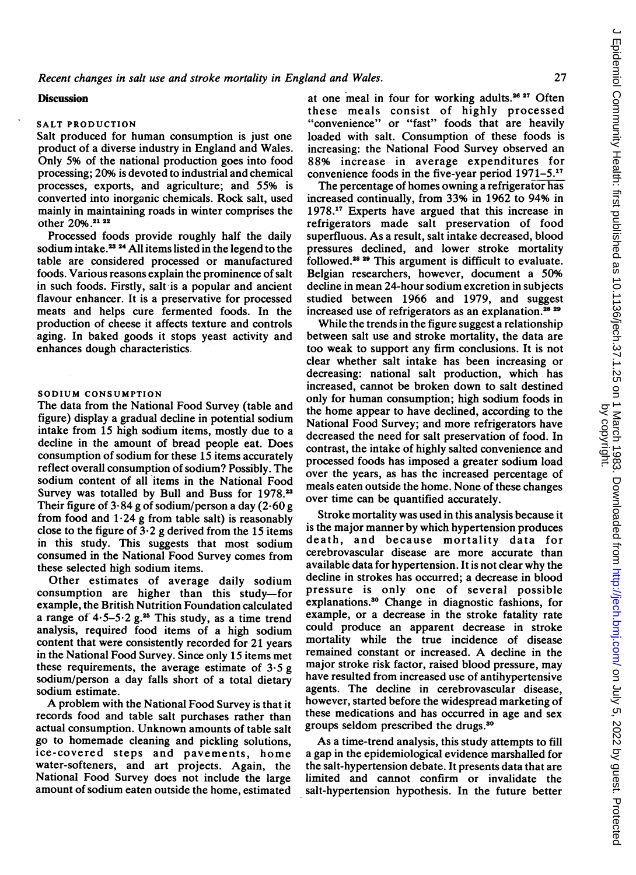#### **Discussion**

#### SALT PRODUCTION

Salt produced for human consumption is just one product of a diverse industry in England and Wales. Only 5% of the national production goes into food processing; 20% is devoted to industrial and chemical processes, exports, and agriculture; and 55% is converted into inorganic chemicals. Rock salt, used mainly in maintaining roads in winter comprises the other 20%.<sup>21</sup> <sup>22</sup>

Processed foods provide roughly half the daily sodium intake.<sup>23</sup> <sup>24</sup> All items listed in the legend to the table are considered processed or manufactured foods. Various reasons explain the prominence of salt in such foods. Firstly, salt is a popular and ancient flavour enhancer. It is a preservative for processed meats and helps cure fermented foods. In the production of cheese it affects texture and controls aging. In baked goods it stops yeast activity and enhances dough characteristics.

#### SODIUM CONSUMPTION

The data from the National Food Survey (table and figure) display a gradual decline in potential sodium intake from 15 high sodium items, mostly due to a decline in the amount of bread people eat. Does consumption of sodium for these 15 items accurately reflect overall consumption of sodium? Possibly. The sodium content of all items in the National Food Survey was totalled by Bull and Buss for 1978.<sup>23</sup> Their figure of  $3.84$  g of sodium/person a day (2.60 g from food and  $1.24$  g from table salt) is reasonably close to the figure of  $3.2$  g derived from the 15 items in this study. This suggests that most sodium consumed in the National Food Survey comes from these selected high sodium items.

Other estimates of average daily sodium consumption are higher than this study-for example, the British Nutrition Foundation calculated a range of  $4.5-5.2$  g.<sup>25</sup> This study, as a time trend analysis, required food items of a high sodium content that were consistently recorded for 21 years in the National Food Survey. Since only 15 items met these requirements, the average estimate of  $3.5 g$ sodium/person a day falls short of a total dietary sodium estimate.

A problem with the National Food Survey is that it records food and table salt purchases rather than actual consumption. Unknown amounts of table salt go to homemade cleaning and pickling solutions, ice-covered steps and pavements, home water-softeners, and art projects. Again, the National Food Survey does not include the large amount of sodium eaten outside the home, estimated

at one meal in four for working adults.<sup>26</sup><sup>27</sup> Often these meals consist of highly processed "convenience" or "fast" foods that are heavily loaded with salt. Consumption of these foods is increasing: the National Food Survey observed an 88% increase in average expenditures for convenience foods in the five-year period 1971-5.17

The percentage of homes owning a refrigerator has increased continually, from 33% in 1962 to 94% in 1978.17 Experts have argued that this increase in refrigerators made salt preservation of food superfluous. As a result, salt intake decreased, blood pressures declined, and lower stroke mortality followed.<sup>28</sup>  $29$  This argument is difficult to evaluate. Belgian researchers, however, document a 50% decline in mean 24-hour sodium excretion in subjects studied between 1966 and 1979, and suggest increased use of refrigerators as an explanation.<sup>28</sup> <sup>29</sup>

While the trends in the figure suggest a relationship between salt use and stroke mortality, the data are too weak to support any firm conclusions. It is not clear whether salt intake has been increasing or decreasing: national salt production, which has increased, cannot be broken down to salt destined only for human consumption; high sodium foods in the home appear to have declined, according to the National Food Survey; and more refrigerators have decreased the need for salt preservation of food. In contrast, the intake of highly salted convenience and processed foods has imposed a greater sodium load over the years, as has the increased percentage of meals eaten outside the home. None of these changes over time can be quantified accurately.

Stroke mortality was used in this analysis because it is the major manner by which hypertension produces death, and because mortality data for cerebrovascular disease are more accurate than available data for hypertension. It is not clear why the decline in strokes has occurred; a decrease in blood pressure is only one of several possible explanations.30 Change in diagnostic fashions, for example, or a decrease in the stroke fatality rate could produce an apparent decrease in stroke mortality while the true incidence of disease remained constant or increased. A decline in the major stroke risk factor, raised blood pressure, may have resulted from increased use of antihypertensive agents. The decline in cerebrovascular disease, however, started before the widespread marketing of these medications and has occurred in age and sex groups seldom prescribed the drugs.30

As a time-trend analysis, this study attempts to fill a gap in the epidemiological evidence marshalled for the salt-hypertension debate. It presents data that are limited and cannot confirm or invalidate the salt-hypertension hypothesis. In the future better

 $\subset$